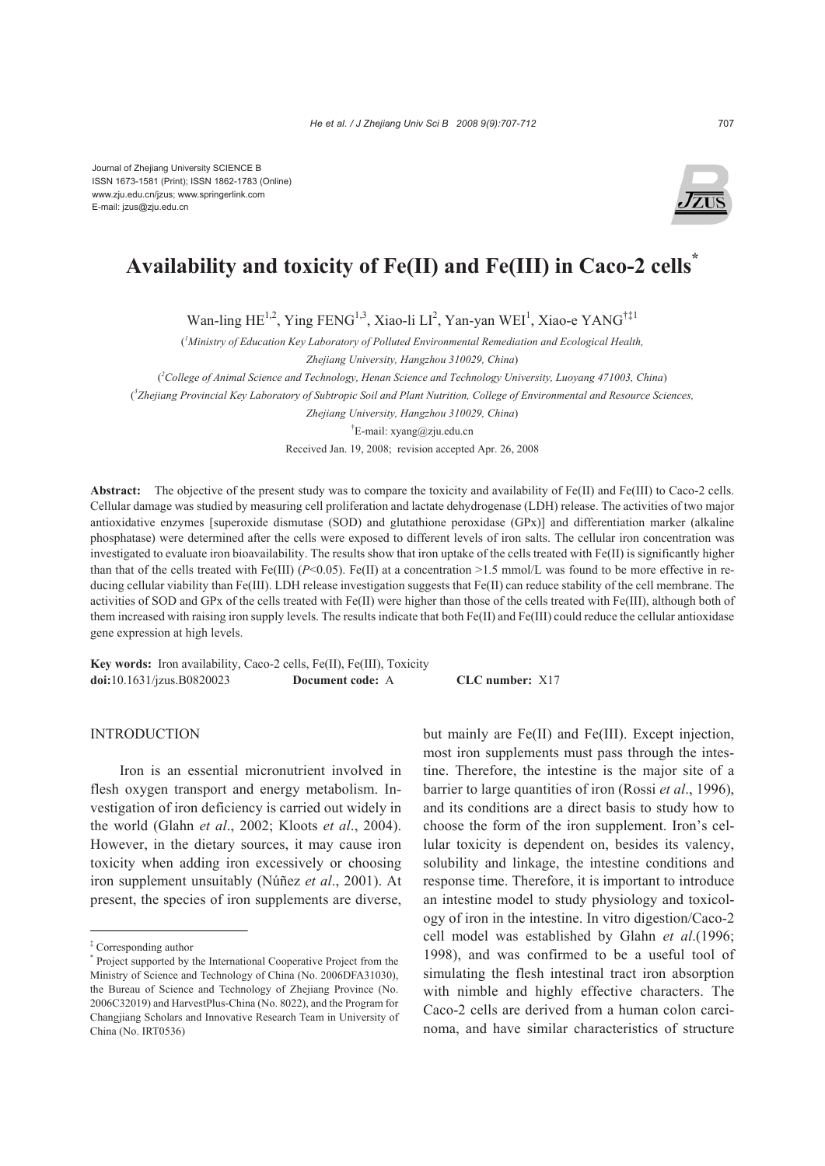

# **Availability and toxicity of Fe(II) and Fe(III) in Caco-2 cells\***

Wan-ling HE<sup>1,2</sup>, Ying FENG<sup>1,3</sup>, Xiao-li LI<sup>2</sup>, Yan-yan WEI<sup>1</sup>, Xiao-e YANG<sup>†‡1</sup>

( *1 Ministry of Education Key Laboratory of Polluted Environmental Remediation and Ecological Health,* 

*Zhejiang University, Hangzhou 310029, China*)

( *2 College of Animal Science and Technology, Henan Science and Technology University, Luoyang 471003, China*)

( *3 Zhejiang Provincial Key Laboratory of Subtropic Soil and Plant Nutrition, College of Environmental and Resource Sciences,* 

*Zhejiang University, Hangzhou 310029, China*)

† E-mail: xyang@zju.edu.cn

Received Jan. 19, 2008; revision accepted Apr. 26, 2008

**Abstract:** The objective of the present study was to compare the toxicity and availability of Fe(II) and Fe(III) to Caco-2 cells. Cellular damage was studied by measuring cell proliferation and lactate dehydrogenase (LDH) release. The activities of two major antioxidative enzymes [superoxide dismutase (SOD) and glutathione peroxidase (GPx)] and differentiation marker (alkaline phosphatase) were determined after the cells were exposed to different levels of iron salts. The cellular iron concentration was investigated to evaluate iron bioavailability. The results show that iron uptake of the cells treated with Fe(II) is significantly higher than that of the cells treated with Fe(III)  $(P<0.05)$ . Fe(II) at a concentration >1.5 mmol/L was found to be more effective in reducing cellular viability than Fe(III). LDH release investigation suggests that Fe(II) can reduce stability of the cell membrane. The activities of SOD and GPx of the cells treated with Fe(II) were higher than those of the cells treated with Fe(III), although both of them increased with raising iron supply levels. The results indicate that both Fe(II) and Fe(III) could reduce the cellular antioxidase gene expression at high levels.

**Key words:** Iron availability, Caco-2 cells, Fe(II), Fe(III), Toxicity **doi:**10.1631/jzus.B0820023 **Document code:** A **CLC number:** X17

## INTRODUCTION

Iron is an essential micronutrient involved in flesh oxygen transport and energy metabolism. Investigation of iron deficiency is carried out widely in the world (Glahn *et al*., 2002; Kloots *et al*., 2004). However, in the dietary sources, it may cause iron toxicity when adding iron excessively or choosing iron supplement unsuitably (Núñez *et al*., 2001). At present, the species of iron supplements are diverse,

but mainly are Fe(II) and Fe(III). Except injection, most iron supplements must pass through the intestine. Therefore, the intestine is the major site of a barrier to large quantities of iron (Rossi *et al*., 1996), and its conditions are a direct basis to study how to choose the form of the iron supplement. Iron's cellular toxicity is dependent on, besides its valency, solubility and linkage, the intestine conditions and response time. Therefore, it is important to introduce an intestine model to study physiology and toxicology of iron in the intestine. In vitro digestion/Caco-2 cell model was established by Glahn *et al*.(1996; 1998), and was confirmed to be a useful tool of simulating the flesh intestinal tract iron absorption with nimble and highly effective characters. The Caco-2 cells are derived from a human colon carcinoma, and have similar characteristics of structure

<sup>‡</sup> Corresponding author

<sup>\*</sup> Project supported by the International Cooperative Project from the Ministry of Science and Technology of China (No. 2006DFA31030), the Bureau of Science and Technology of Zhejiang Province (No. 2006C32019) and HarvestPlus-China (No. 8022), and the Program for Changjiang Scholars and Innovative Research Team in University of China (No. IRT0536)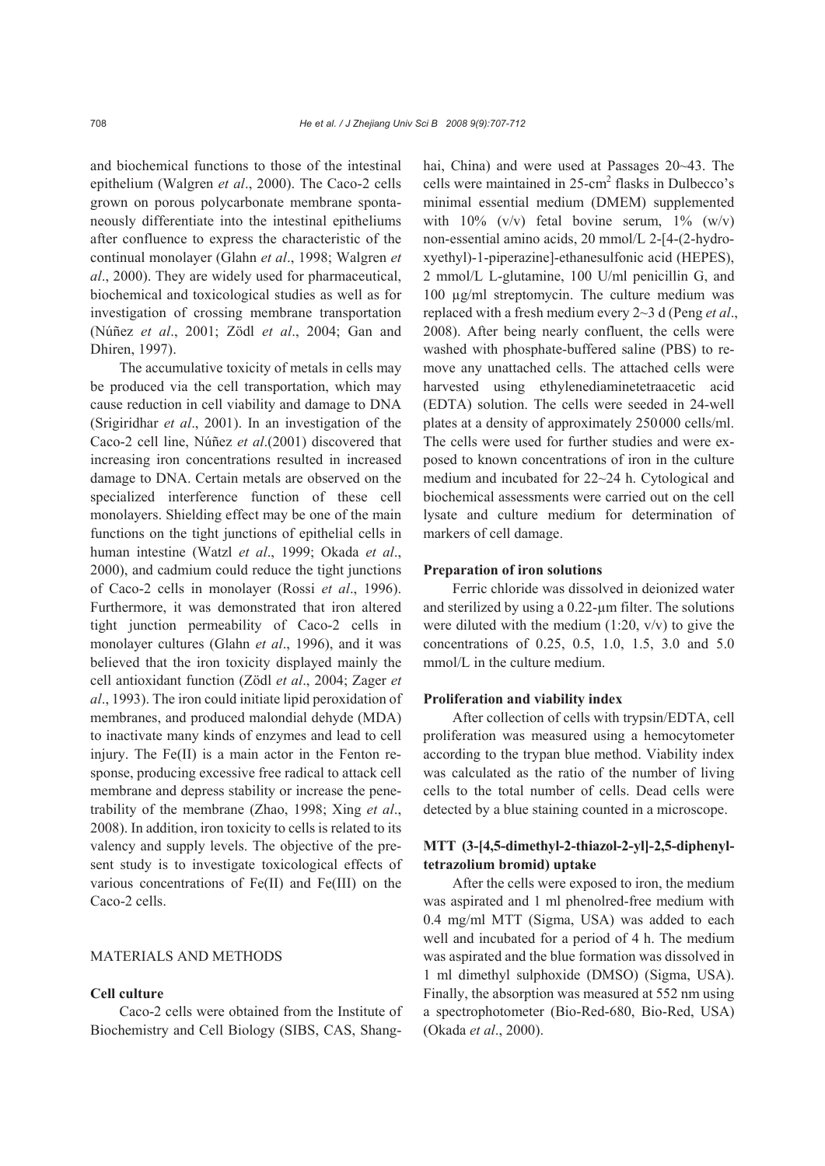and biochemical functions to those of the intestinal epithelium (Walgren *et al*., 2000). The Caco-2 cells grown on porous polycarbonate membrane spontaneously differentiate into the intestinal epitheliums after confluence to express the characteristic of the continual monolayer (Glahn *et al*., 1998; Walgren *et al*., 2000). They are widely used for pharmaceutical, biochemical and toxicological studies as well as for investigation of crossing membrane transportation (Núñez *et al*., 2001; Zödl *et al*., 2004; Gan and Dhiren, 1997).

The accumulative toxicity of metals in cells may be produced via the cell transportation, which may cause reduction in cell viability and damage to DNA (Srigiridhar *et al*., 2001). In an investigation of the Caco-2 cell line, Núñez *et al*.(2001) discovered that increasing iron concentrations resulted in increased damage to DNA. Certain metals are observed on the specialized interference function of these cell monolayers. Shielding effect may be one of the main functions on the tight junctions of epithelial cells in human intestine (Watzl *et al*., 1999; Okada *et al*., 2000), and cadmium could reduce the tight junctions of Caco-2 cells in monolayer (Rossi *et al*., 1996). Furthermore, it was demonstrated that iron altered tight junction permeability of Caco-2 cells in monolayer cultures (Glahn *et al*., 1996), and it was believed that the iron toxicity displayed mainly the cell antioxidant function (Zödl *et al*., 2004; Zager *et al*., 1993). The iron could initiate lipid peroxidation of membranes, and produced malondial dehyde (MDA) to inactivate many kinds of enzymes and lead to cell injury. The Fe(II) is a main actor in the Fenton response, producing excessive free radical to attack cell membrane and depress stability or increase the penetrability of the membrane (Zhao, 1998; Xing *et al*., 2008). In addition, iron toxicity to cells is related to its valency and supply levels. The objective of the present study is to investigate toxicological effects of various concentrations of Fe(II) and Fe(III) on the Caco-2 cells.

## MATERIALS AND METHODS

## **Cell culture**

Caco-2 cells were obtained from the Institute of Biochemistry and Cell Biology (SIBS, CAS, Shanghai, China) and were used at Passages 20~43. The cells were maintained in  $25$ -cm<sup>2</sup> flasks in Dulbecco's minimal essential medium (DMEM) supplemented with  $10\%$  (v/v) fetal bovine serum,  $1\%$  (w/v) non-essential amino acids, 20 mmol/L 2-[4-(2-hydroxyethyl)-1-piperazine]-ethanesulfonic acid (HEPES), 2 mmol/L L-glutamine, 100 U/ml penicillin G, and 100 µg/ml streptomycin. The culture medium was replaced with a fresh medium every 2~3 d (Peng *et al*., 2008). After being nearly confluent, the cells were washed with phosphate-buffered saline (PBS) to remove any unattached cells. The attached cells were harvested using ethylenediaminetetraacetic acid (EDTA) solution. The cells were seeded in 24-well plates at a density of approximately 250000 cells/ml. The cells were used for further studies and were exposed to known concentrations of iron in the culture medium and incubated for 22~24 h. Cytological and biochemical assessments were carried out on the cell lysate and culture medium for determination of markers of cell damage.

#### **Preparation of iron solutions**

Ferric chloride was dissolved in deionized water and sterilized by using a 0.22-µm filter. The solutions were diluted with the medium  $(1:20, v/v)$  to give the concentrations of 0.25, 0.5, 1.0, 1.5, 3.0 and 5.0 mmol/L in the culture medium.

#### **Proliferation and viability index**

After collection of cells with trypsin/EDTA, cell proliferation was measured using a hemocytometer according to the trypan blue method. Viability index was calculated as the ratio of the number of living cells to the total number of cells. Dead cells were detected by a blue staining counted in a microscope.

# **MTT (3-[4,5-dimethyl-2-thiazol-2-yl]-2,5-diphenyltetrazolium bromid) uptake**

After the cells were exposed to iron, the medium was aspirated and 1 ml phenolred-free medium with 0.4 mg/ml MTT (Sigma, USA) was added to each well and incubated for a period of 4 h. The medium was aspirated and the blue formation was dissolved in 1 ml dimethyl sulphoxide (DMSO) (Sigma, USA). Finally, the absorption was measured at 552 nm using a spectrophotometer (Bio-Red-680, Bio-Red, USA) (Okada *et al*., 2000).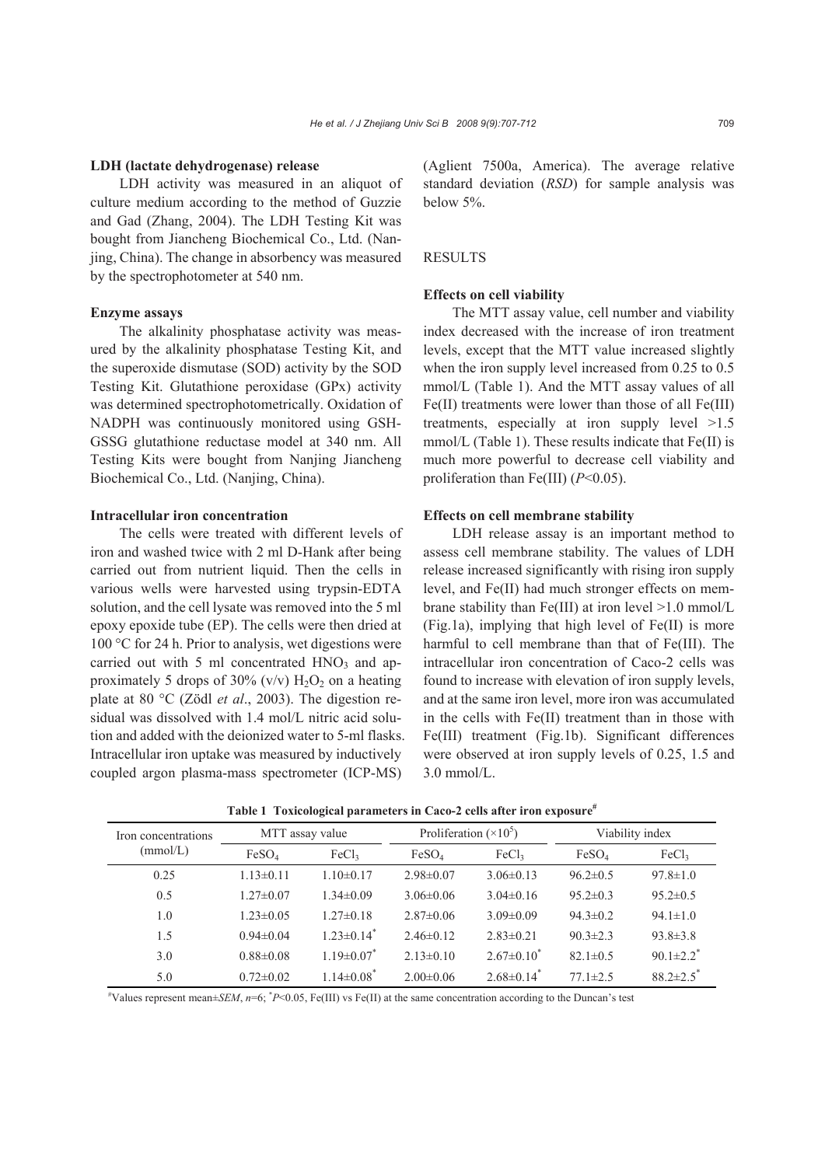#### **LDH (lactate dehydrogenase) release**

LDH activity was measured in an aliquot of culture medium according to the method of Guzzie and Gad (Zhang, 2004). The LDH Testing Kit was bought from Jiancheng Biochemical Co., Ltd. (Nanjing, China). The change in absorbency was measured by the spectrophotometer at 540 nm.

#### **Enzyme assays**

The alkalinity phosphatase activity was measured by the alkalinity phosphatase Testing Kit, and the superoxide dismutase (SOD) activity by the SOD Testing Kit. Glutathione peroxidase (GPx) activity was determined spectrophotometrically. Oxidation of NADPH was continuously monitored using GSH-GSSG glutathione reductase model at 340 nm. All Testing Kits were bought from Nanjing Jiancheng Biochemical Co., Ltd. (Nanjing, China).

## **Intracellular iron concentration**

The cells were treated with different levels of iron and washed twice with 2 ml D-Hank after being carried out from nutrient liquid. Then the cells in various wells were harvested using trypsin-EDTA solution, and the cell lysate was removed into the 5 ml epoxy epoxide tube (EP). The cells were then dried at 100 °C for 24 h. Prior to analysis, wet digestions were carried out with 5 ml concentrated  $HNO<sub>3</sub>$  and approximately 5 drops of 30% (v/v)  $H_2O_2$  on a heating plate at 80 °C (Zödl *et al*., 2003). The digestion residual was dissolved with 1.4 mol/L nitric acid solution and added with the deionized water to 5-ml flasks. Intracellular iron uptake was measured by inductively coupled argon plasma-mass spectrometer (ICP-MS)

(Aglient 7500a, America). The average relative standard deviation (*RSD*) for sample analysis was below 5%.

## **RESULTS**

## **Effects on cell viability**

The MTT assay value, cell number and viability index decreased with the increase of iron treatment levels, except that the MTT value increased slightly when the iron supply level increased from 0.25 to 0.5 mmol/L (Table 1). And the MTT assay values of all Fe(II) treatments were lower than those of all Fe(III) treatments, especially at iron supply level >1.5 mmol/L (Table 1). These results indicate that Fe(II) is much more powerful to decrease cell viability and proliferation than Fe(III) (*P*<0.05).

#### **Effects on cell membrane stability**

LDH release assay is an important method to assess cell membrane stability. The values of LDH release increased significantly with rising iron supply level, and Fe(II) had much stronger effects on membrane stability than Fe(III) at iron level  $>1.0$  mmol/L (Fig.1a), implying that high level of Fe(II) is more harmful to cell membrane than that of Fe(III). The intracellular iron concentration of Caco-2 cells was found to increase with elevation of iron supply levels, and at the same iron level, more iron was accumulated in the cells with Fe(II) treatment than in those with Fe(III) treatment (Fig.1b). Significant differences were observed at iron supply levels of 0.25, 1.5 and 3.0 mmol/L.

| Iron concentrations<br>(mmol/L) | MTT assay value   |                              | Proliferation $(\times 10^5)$ |                              | Viability index   |                             |
|---------------------------------|-------------------|------------------------------|-------------------------------|------------------------------|-------------------|-----------------------------|
|                                 | FeSO <sub>4</sub> | FeCl <sub>3</sub>            | FeSO <sub>4</sub>             | FeCl <sub>3</sub>            | FeSO <sub>4</sub> | FeCl <sub>3</sub>           |
| 0.25                            | $1.13 \pm 0.11$   | $1.10 \pm 0.17$              | $2.98\pm0.07$                 | $3.06\pm0.13$                | $96.2 \pm 0.5$    | $97.8 \pm 1.0$              |
| 0.5                             | $1.27 \pm 0.07$   | $1.34\pm0.09$                | $3.06\pm0.06$                 | $3.04\pm0.16$                | $95.2 \pm 0.3$    | $95.2 \pm 0.5$              |
| 1.0                             | $1.23 \pm 0.05$   | $1.27\pm0.18$                | $2.87\pm0.06$                 | $3.09 \pm 0.09$              | $94.3 \pm 0.2$    | $94.1 \pm 1.0$              |
| 1.5                             | $0.94 \pm 0.04$   | $1.23 \pm 0.14$ <sup>*</sup> | $2.46\pm0.12$                 | $2.83\pm0.21$                | $90.3 \pm 2.3$    | $93.8 \pm 3.8$              |
| 3.0                             | $0.88 \pm 0.08$   | $1.19 \pm 0.07$              | $2.13\pm0.10$                 | $2.67 \pm 0.10^*$            | $82.1 \pm 0.5$    | $90.1 \pm 2.2$ <sup>*</sup> |
| 5.0                             | $0.72 \pm 0.02$   | $1.14 \pm 0.08^*$            | $2.00\pm0.06$                 | $2.68 \pm 0.14$ <sup>*</sup> | $77.1 \pm 2.5$    | $88.2 \pm 2.5$              |

**Table 1 Toxicological parameters in Caco-2 cells after iron exposure#**

 $*$ Values represent mean±*SEM*,  $n=6$ ;  $*P<0.05$ , Fe(III) vs Fe(II) at the same concentration according to the Duncan's test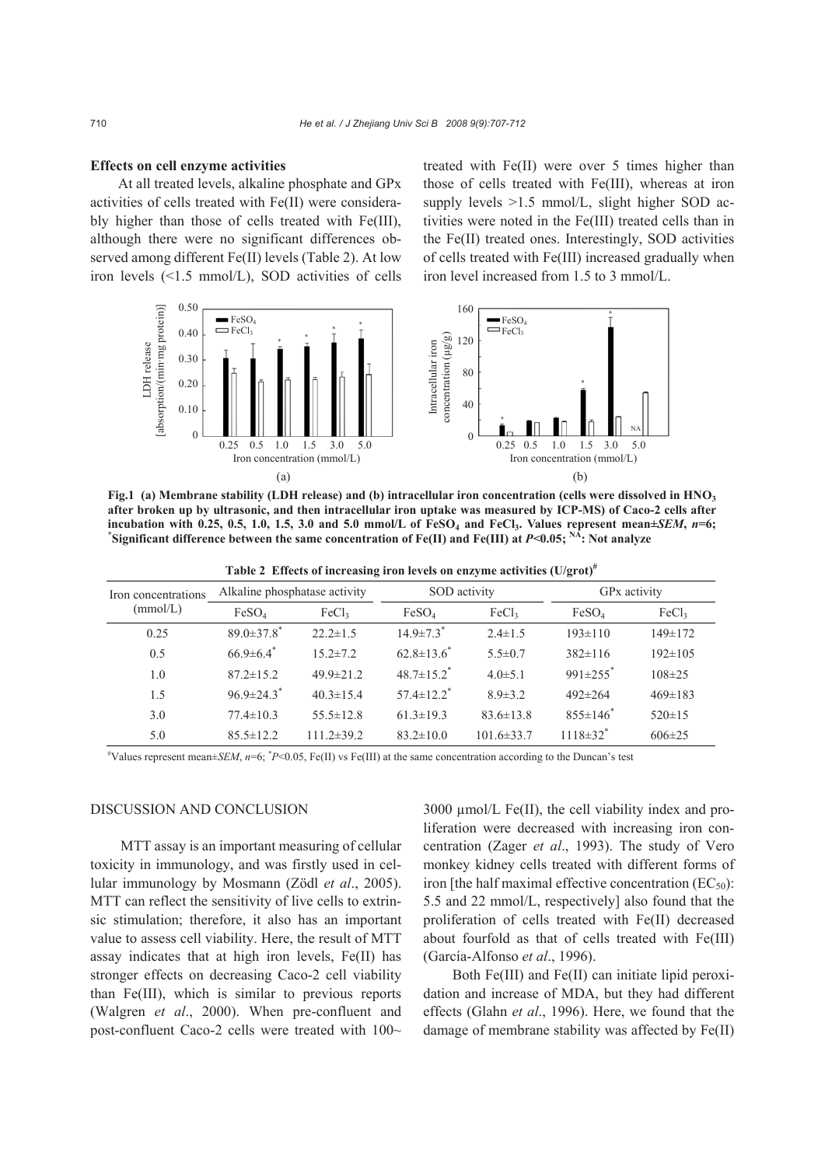#### **Effects on cell enzyme activities**

At all treated levels, alkaline phosphate and GPx activities of cells treated with Fe(II) were considerably higher than those of cells treated with Fe(III), although there were no significant differences observed among different Fe(II) levels (Table 2). At low iron levels (<1.5 mmol/L), SOD activities of cells treated with Fe(II) were over 5 times higher than those of cells treated with Fe(III), whereas at iron supply levels  $>1.5$  mmol/L, slight higher SOD activities were noted in the Fe(III) treated cells than in the Fe(II) treated ones. Interestingly, SOD activities of cells treated with Fe(III) increased gradually when iron level increased from 1.5 to 3 mmol/L.



**Fig.1 (a) Membrane stability (LDH release) and (b) intracellular iron concentration (cells were dissolved in HNO3 after broken up by ultrasonic, and then intracellular iron uptake was measured by ICP-MS) of Caco-2 cells after**  $i$ **ncubation with 0.25, 0.5, 1.0, 1.5, 3.0 and 5.0 mmol/L of FeSO<sub>4</sub> and FeCl<sub>3</sub>. Values represent mean** $\pm$ *SEM***,**  $n=6$ **;**  $\tilde{S}$  Significant difference between the same concentration of Fe(II) and Fe(III) at  $P$ <0.05;  $\tilde{S}$ . Not analyze

|          |                                                   | Table 2 Effects of increasing iron levels on enzyme activities $(U/\text{grot})^n$ |              |  |                          |  |
|----------|---------------------------------------------------|------------------------------------------------------------------------------------|--------------|--|--------------------------|--|
|          | Iron concentrations Alkaline phosphatase activity |                                                                                    | SOD activity |  | GP <sub>x</sub> activity |  |
| (mmol/L) | $\mathbf{E}$ $\alpha$                             |                                                                                    |              |  |                          |  |

| tron concentrations<br>(mmol/L) | $\ldots$                     |                   |                              | <u>~~~ ~~~ </u>   |                            |                   |  |
|---------------------------------|------------------------------|-------------------|------------------------------|-------------------|----------------------------|-------------------|--|
|                                 | FeSO <sub>4</sub>            | FeCl <sub>3</sub> | FeSO <sub>4</sub>            | FeCl <sub>3</sub> | FeSO <sub>4</sub>          | FeCl <sub>3</sub> |  |
| 0.25                            | $89.0 \pm 37.8$ <sup>*</sup> | $22.2 \pm 1.5$    | $14.9 \pm 7.3$ <sup>*</sup>  | $2.4 \pm 1.5$     | $193 \pm 110$              | $149 \pm 172$     |  |
| 0.5                             | $66.9\pm6.4$ <sup>*</sup>    | $15.2 \pm 7.2$    | $62.8 \pm 13.6^*$            | $5.5 \pm 0.7$     | $382\pm116$                | $192 \pm 105$     |  |
| 1.0                             | $87.2 \pm 15.2$              | $49.9 \pm 21.2$   | $48.7 \pm 15.2$ <sup>*</sup> | $4.0 \pm 5.1$     | $991\pm255$ *              | $108 \pm 25$      |  |
| 1.5                             | $96.9 \pm 24.3$              | $40.3 \pm 15.4$   | $57.4 \pm 12.2$ <sup>*</sup> | $8.9 \pm 3.2$     | $492 \pm 264$              | $469 \pm 183$     |  |
| 3.0                             | $77.4 \pm 10.3$              | $55.5 \pm 12.8$   | $61.3 \pm 19.3$              | $83.6 \pm 13.8$   | $855 \pm 146$ <sup>*</sup> | $520 \pm 15$      |  |
| 5.0                             | $85.5 \pm 12.2$              | $111.2 \pm 39.2$  | $83.2 \pm 10.0$              | $101.6 \pm 33.7$  | $1118 \pm 32$ <sup>*</sup> | $606\pm25$        |  |
|                                 |                              |                   |                              |                   |                            |                   |  |

 $*$ Values represent mean $\pm$ *SEM*,  $n=6$ ,  $*P<0.05$ , Fe(II) vs Fe(III) at the same concentration according to the Duncan's test

# DISCUSSION AND CONCLUSION

MTT assay is an important measuring of cellular toxicity in immunology, and was firstly used in cellular immunology by Mosmann (Zödl *et al*., 2005). MTT can reflect the sensitivity of live cells to extrinsic stimulation; therefore, it also has an important value to assess cell viability. Here, the result of MTT assay indicates that at high iron levels, Fe(II) has stronger effects on decreasing Caco-2 cell viability than Fe(III), which is similar to previous reports (Walgren *et al*., 2000). When pre-confluent and post-confluent Caco-2 cells were treated with 100~

 $3000 \mu$  mol/L Fe(II), the cell viability index and proliferation were decreased with increasing iron concentration (Zager *et al*., 1993). The study of Vero monkey kidney cells treated with different forms of iron [the half maximal effective concentration  $(EC_{50})$ : 5.5 and 22 mmol/L, respectively] also found that the proliferation of cells treated with Fe(II) decreased about fourfold as that of cells treated with Fe(III) (García-Alfonso *et al*., 1996).

Both Fe(III) and Fe(II) can initiate lipid peroxidation and increase of MDA, but they had different effects (Glahn *et al*., 1996). Here, we found that the damage of membrane stability was affected by Fe(II)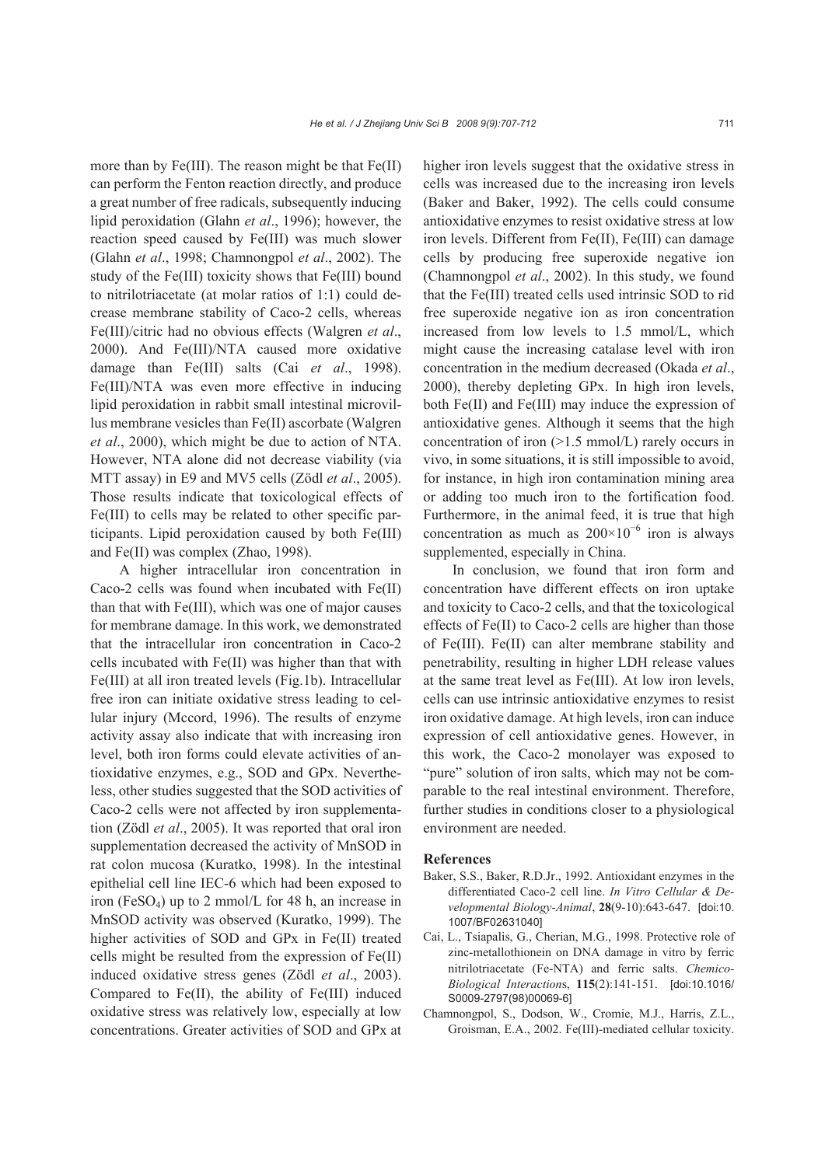more than by  $Fe(III)$ . The reason might be that  $Fe(II)$ can perform the Fenton reaction directly, and produce a great number of free radicals, subsequently inducing lipid peroxidation (Glahn *et al*., 1996); however, the reaction speed caused by Fe(III) was much slower (Glahn *et al*., 1998; Chamnongpol *et al*., 2002). The study of the Fe(III) toxicity shows that Fe(III) bound to nitrilotriacetate (at molar ratios of 1:1) could decrease membrane stability of Caco-2 cells, whereas Fe(III)/citric had no obvious effects (Walgren *et al*., 2000). And Fe(III)/NTA caused more oxidative damage than Fe(III) salts (Cai *et al*., 1998). Fe(III)/NTA was even more effective in inducing lipid peroxidation in rabbit small intestinal microvillus membrane vesicles than Fe(II) ascorbate (Walgren *et al*., 2000), which might be due to action of NTA. However, NTA alone did not decrease viability (via MTT assay) in E9 and MV5 cells (Zödl *et al*., 2005). Those results indicate that toxicological effects of Fe(III) to cells may be related to other specific participants. Lipid peroxidation caused by both Fe(III) and Fe(II) was complex (Zhao, 1998).

A higher intracellular iron concentration in Caco-2 cells was found when incubated with Fe(II) than that with Fe(III), which was one of major causes for membrane damage. In this work, we demonstrated that the intracellular iron concentration in Caco-2 cells incubated with Fe(II) was higher than that with Fe(III) at all iron treated levels (Fig.1b). Intracellular free iron can initiate oxidative stress leading to cellular injury (Mccord, 1996). The results of enzyme activity assay also indicate that with increasing iron level, both iron forms could elevate activities of antioxidative enzymes, e.g., SOD and GPx. Nevertheless, other studies suggested that the SOD activities of Caco-2 cells were not affected by iron supplementation (Zödl *et al*., 2005). It was reported that oral iron supplementation decreased the activity of MnSOD in rat colon mucosa (Kuratko, 1998). In the intestinal epithelial cell line IEC-6 which had been exposed to iron (FeSO4) up to 2 mmol/L for 48 h, an increase in MnSOD activity was observed (Kuratko, 1999). The higher activities of SOD and GPx in Fe(II) treated cells might be resulted from the expression of Fe(II) induced oxidative stress genes (Zödl *et al*., 2003). Compared to Fe(II), the ability of Fe(III) induced oxidative stress was relatively low, especially at low concentrations. Greater activities of SOD and GPx at higher iron levels suggest that the oxidative stress in cells was increased due to the increasing iron levels (Baker and Baker, 1992). The cells could consume antioxidative enzymes to resist oxidative stress at low iron levels. Different from Fe(II), Fe(III) can damage cells by producing free superoxide negative ion (Chamnongpol *et al*., 2002). In this study, we found that the Fe(III) treated cells used intrinsic SOD to rid free superoxide negative ion as iron concentration increased from low levels to 1.5 mmol/L, which might cause the increasing catalase level with iron concentration in the medium decreased (Okada *et al*., 2000), thereby depleting GPx. In high iron levels, both Fe(II) and Fe(III) may induce the expression of antioxidative genes. Although it seems that the high concentration of iron (>1.5 mmol/L) rarely occurs in vivo, in some situations, it is still impossible to avoid, for instance, in high iron contamination mining area or adding too much iron to the fortification food. Furthermore, in the animal feed, it is true that high concentration as much as  $200 \times 10^{-6}$  iron is always supplemented, especially in China.

In conclusion, we found that iron form and concentration have different effects on iron uptake and toxicity to Caco-2 cells, and that the toxicological effects of Fe(II) to Caco-2 cells are higher than those of Fe(III). Fe(II) can alter membrane stability and penetrability, resulting in higher LDH release values at the same treat level as Fe(III). At low iron levels, cells can use intrinsic antioxidative enzymes to resist iron oxidative damage. At high levels, iron can induce expression of cell antioxidative genes. However, in this work, the Caco-2 monolayer was exposed to "pure" solution of iron salts, which may not be comparable to the real intestinal environment. Therefore, further studies in conditions closer to a physiological environment are needed.

#### **References**

- Baker, S.S., Baker, R.D.Jr., 1992. Antioxidant enzymes in the differentiated Caco-2 cell line. *In Vitro Cellular & Developmental Biology-Animal*, **28**(9-10):643-647. [doi:10. 1007/BF02631040]
- Cai, L., Tsiapalis, G., Cherian, M.G., 1998. Protective role of zinc-metallothionein on DNA damage in vitro by ferric nitrilotriacetate (Fe-NTA) and ferric salts. *Chemico-Biological Interaction*s, **115**(2):141-151. [doi:10.1016/ S0009-2797(98)00069-6]
- Chamnongpol, S., Dodson, W., Cromie, M.J., Harris, Z.L., Groisman, E.A., 2002. Fe(III)-mediated cellular toxicity.